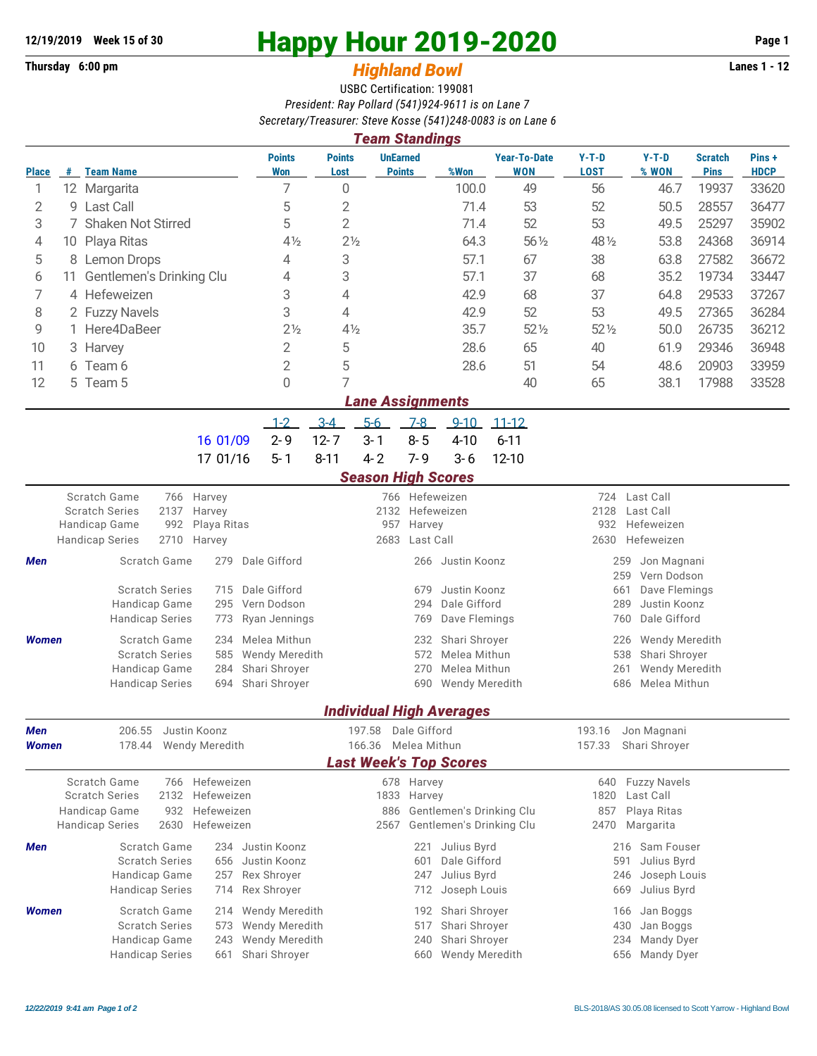## **Thursday 6:00 pm** *Highland Bowl* **Lanes 1 - 12**

# **12/19/2019 Week 15 of 30 Happy Hour 2019-2020 Page 1**

### USBC Certification: 199081 *President: Ray Pollard (541)924-9611 is on Lane 7 Secretary/Treasurer: Steve Kosse (541)248-0083 is on Lane 6*

| <b>Team Standings</b>   |     |                          |                      |                          |                                  |       |                                   |                 |                  |                               |                      |
|-------------------------|-----|--------------------------|----------------------|--------------------------|----------------------------------|-------|-----------------------------------|-----------------|------------------|-------------------------------|----------------------|
| <b>Place</b>            | #   | <b>Team Name</b>         | <b>Points</b><br>Won | <b>Points</b><br>Lost    | <b>UnEarned</b><br><b>Points</b> | %Won  | <b>Year-To-Date</b><br><b>WON</b> | $Y-T-D$<br>LOST | $Y-T-D$<br>% WON | <b>Scratch</b><br><b>Pins</b> | Pins+<br><b>HDCP</b> |
|                         | 12. | Margarita                |                      | 0                        |                                  | 100.0 | 49                                | 56              | 46.7             | 19937                         | 33620                |
| 2                       |     | 9 Last Call              | 5                    | 2                        |                                  | 71.4  | 53                                | 52              | 50.5             | 28557                         | 36477                |
| 3                       |     | 7 Shaken Not Stirred     | 5                    | 2                        |                                  | 71.4  | 52                                | 53              | 49.5             | 25297                         | 35902                |
| 4                       |     | 10 Playa Ritas           | $4\frac{1}{2}$       | $2\frac{1}{2}$           |                                  | 64.3  | 56 1/2                            | 48 1/2          | 53.8             | 24368                         | 36914                |
| 5                       |     | 8 Lemon Drops            | 4                    | 3                        |                                  | 57.1  | 67                                | 38              | 63.8             | 27582                         | 36672                |
| 6                       | 11  | Gentlemen's Drinking Clu | 4                    | 3                        |                                  | 57.1  | 37                                | 68              | 35.2             | 19734                         | 33447                |
|                         |     | 4 Hefeweizen             | 3                    | 4                        |                                  | 42.9  | 68                                | 37              | 64.8             | 29533                         | 37267                |
| 8                       |     | 2 Fuzzy Navels           | 3                    | 4                        |                                  | 42.9  | 52                                | 53              | 49.5             | 27365                         | 36284                |
| 9                       |     | 1 Here4DaBeer            | $2\frac{1}{2}$       | $4\frac{1}{2}$           |                                  | 35.7  | $52\frac{1}{2}$                   | $52\%$          | 50.0             | 26735                         | 36212                |
| 10                      |     | 3 Harvey                 | 2                    | 5                        |                                  | 28.6  | 65                                | 40              | 61.9             | 29346                         | 36948                |
| 11                      |     | 6 Team 6                 | 2                    | 5                        |                                  | 28.6  | 51                                | 54              | 48.6             | 20903                         | 33959                |
| 12                      |     | 5 Team 5                 | 0                    | $\overline{\phantom{0}}$ |                                  |       | 40                                | 65              | 38.1             | 17988                         | 33528                |
| <b>Lane Assignments</b> |     |                          |                      |                          |                                  |       |                                   |                 |                  |                               |                      |

1-2 3-4 5-6 7-8 9-10 11-12 16 01/09 2-9 12-7 3-1 8-5 4-10 6-11 17 01/16 5-1 8-11 4-2 7-9 3-6 12-10

#### *Season High Scores*

|              | Scratch Game<br><b>Scratch Series</b><br>Handicap Game<br><b>Handicap Series</b> | 766 Harvey<br>2137 Harvey<br>992 Playa Ritas<br>2710 Harvey |                    | 2132 Hefeweizen<br>957 Harvey<br>2683 Last Call | 766 Hefeweizen        | 724<br>2128<br>932 | Last Call<br>Last Call<br>Hefeweizen<br>2630 Hefeweizen |  |
|--------------|----------------------------------------------------------------------------------|-------------------------------------------------------------|--------------------|-------------------------------------------------|-----------------------|--------------------|---------------------------------------------------------|--|
| <b>Men</b>   | Scratch Game                                                                     | 279                                                         | Dale Gifford       |                                                 | 266 Justin Koonz      |                    | Jon Magnani<br>259<br>Vern Dodson<br>259                |  |
|              | <b>Scratch Series</b>                                                            |                                                             | 715 Dale Gifford   | 679                                             | Justin Koonz          | 661                | Dave Flemings                                           |  |
|              | Handicap Game                                                                    |                                                             | 295 Vern Dodson    | 294                                             | Dale Gifford          |                    | Justin Koonz<br>289                                     |  |
|              | <b>Handicap Series</b>                                                           |                                                             | 773 Ryan Jennings  | 769.                                            | Dave Flemings         |                    | 760 Dale Gifford                                        |  |
| <b>Women</b> | Scratch Game                                                                     |                                                             | 234 Melea Mithun   |                                                 | 232 Shari Shroyer     |                    | Wendy Meredith<br>226                                   |  |
|              | <b>Scratch Series</b>                                                            |                                                             | 585 Wendy Meredith | 572                                             | Melea Mithun          |                    | 538 Shari Shroyer                                       |  |
|              | Handicap Game                                                                    |                                                             | 284 Shari Shroyer  | 270                                             | Melea Mithun          | 261                | Wendy Meredith                                          |  |
|              | <b>Handicap Series</b>                                                           |                                                             | 694 Shari Shroyer  | 690                                             | <b>Wendy Meredith</b> |                    | 686 Melea Mithun                                        |  |

#### *Individual High Averages*

| Men          | 206.55                        |                          | Justin Koonz |                       |                     | Dale Gifford |                              | 193.16 | Jon Magnani              |  |  |  |  |
|--------------|-------------------------------|--------------------------|--------------|-----------------------|---------------------|--------------|------------------------------|--------|--------------------------|--|--|--|--|
| <b>Women</b> |                               | Wendy Meredith<br>178.44 |              |                       | 166.36 Melea Mithun |              |                              | 157.33 | Shari Shroyer            |  |  |  |  |
|              | <b>Last Week's Top Scores</b> |                          |              |                       |                     |              |                              |        |                          |  |  |  |  |
|              | Scratch Game                  | 766                      | Hefeweizen   |                       |                     | 678 Harvey   |                              | 640    | <b>Fuzzy Navels</b>      |  |  |  |  |
|              | <b>Scratch Series</b><br>2132 |                          | Hefeweizen   |                       |                     | 1833 Harvey  |                              | 1820   | Last Call                |  |  |  |  |
|              | Handicap Game<br>932          |                          | Hefeweizen   |                       |                     |              | 886 Gentlemen's Drinking Clu | 857    | Playa Ritas              |  |  |  |  |
|              | <b>Handicap Series</b>        | Hefeweizen<br>2630       |              |                       | 2567                |              | Gentlemen's Drinking Clu     | 2470   | Margarita                |  |  |  |  |
| Men          |                               | Scratch Game             |              | 234 Justin Koonz      |                     | 221          | Julius Byrd                  |        | Sam Fouser<br>216        |  |  |  |  |
|              |                               | <b>Scratch Series</b>    |              | 656 Justin Koonz      |                     | 601          | Dale Gifford                 |        | Julius Byrd<br>591       |  |  |  |  |
|              | Handicap Game                 |                          |              | 257 Rex Shroyer       |                     | 247          | Julius Byrd                  |        | Joseph Louis<br>246      |  |  |  |  |
|              | <b>Handicap Series</b>        |                          |              | 714 Rex Shroyer       |                     | 712          | Joseph Louis                 |        | Julius Byrd<br>669       |  |  |  |  |
| <b>Women</b> |                               | Scratch Game             |              | 214 Wendy Meredith    |                     | 192          | Shari Shrover                |        | 166<br>Jan Boggs         |  |  |  |  |
|              |                               | <b>Scratch Series</b>    |              | 573 Wendy Meredith    |                     | 517          | Shari Shrover                |        | Jan Boggs<br>430         |  |  |  |  |
|              | Handicap Game                 |                          | 243          | <b>Wendy Meredith</b> |                     | 240          | Shari Shroyer                |        | 234<br><b>Mandy Dyer</b> |  |  |  |  |
|              | <b>Handicap Series</b>        |                          | 661          | Shari Shrover         |                     | 660          | <b>Wendy Meredith</b>        |        | <b>Mandy Dyer</b><br>656 |  |  |  |  |